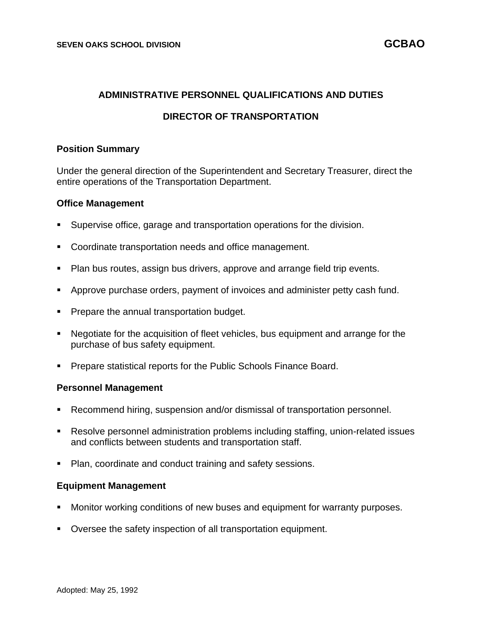## **ADMINISTRATIVE PERSONNEL QUALIFICATIONS AND DUTIES**

## **DIRECTOR OF TRANSPORTATION**

### **Position Summary**

Under the general direction of the Superintendent and Secretary Treasurer, direct the entire operations of the Transportation Department.

#### **Office Management**

- Supervise office, garage and transportation operations for the division.
- Coordinate transportation needs and office management.
- Plan bus routes, assign bus drivers, approve and arrange field trip events.
- Approve purchase orders, payment of invoices and administer petty cash fund.
- Prepare the annual transportation budget.
- Negotiate for the acquisition of fleet vehicles, bus equipment and arrange for the purchase of bus safety equipment.
- Prepare statistical reports for the Public Schools Finance Board.

#### **Personnel Management**

- Recommend hiring, suspension and/or dismissal of transportation personnel.
- Resolve personnel administration problems including staffing, union-related issues and conflicts between students and transportation staff.
- Plan, coordinate and conduct training and safety sessions.

#### **Equipment Management**

- Monitor working conditions of new buses and equipment for warranty purposes.
- Oversee the safety inspection of all transportation equipment.